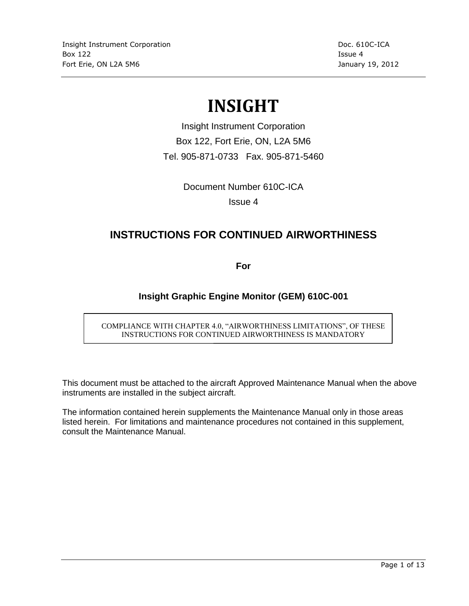# **INSIGHT**

Insight Instrument Corporation Box 122, Fort Erie, ON, L2A 5M6 Tel. 905-871-0733 Fax. 905-871-5460

Document Number 610C-ICA

Issue 4

### **INSTRUCTIONS FOR CONTINUED AIRWORTHINESS**

**For**

### **Insight Graphic Engine Monitor (GEM) 610C-001**

COMPLIANCE WITH CHAPTER 4.0, "AIRWORTHINESS LIMITATIONS", OF THESE INSTRUCTIONS FOR CONTINUED AIRWORTHINESS IS MANDATORY

This document must be attached to the aircraft Approved Maintenance Manual when the above instruments are installed in the subject aircraft.

The information contained herein supplements the Maintenance Manual only in those areas listed herein. For limitations and maintenance procedures not contained in this supplement, consult the Maintenance Manual.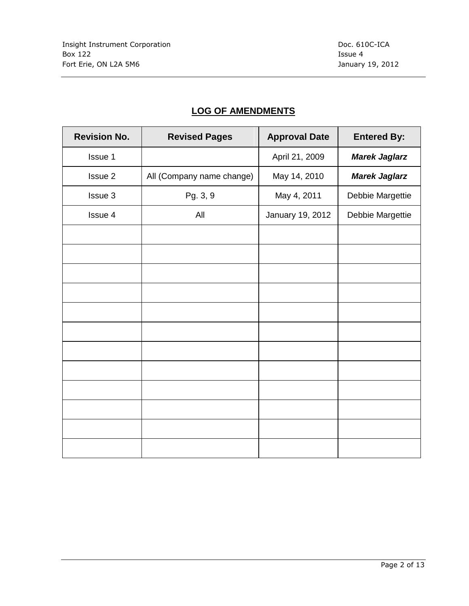### **LOG OF AMENDMENTS**

| <b>Revision No.</b> | <b>Revised Pages</b>      | <b>Approval Date</b> | <b>Entered By:</b>   |
|---------------------|---------------------------|----------------------|----------------------|
| Issue 1             |                           | April 21, 2009       | <b>Marek Jaglarz</b> |
| Issue 2             | All (Company name change) | May 14, 2010         | <b>Marek Jaglarz</b> |
| Issue 3             | Pg. 3, 9                  | May 4, 2011          | Debbie Margettie     |
| Issue 4             | All                       | January 19, 2012     | Debbie Margettie     |
|                     |                           |                      |                      |
|                     |                           |                      |                      |
|                     |                           |                      |                      |
|                     |                           |                      |                      |
|                     |                           |                      |                      |
|                     |                           |                      |                      |
|                     |                           |                      |                      |
|                     |                           |                      |                      |
|                     |                           |                      |                      |
|                     |                           |                      |                      |
|                     |                           |                      |                      |
|                     |                           |                      |                      |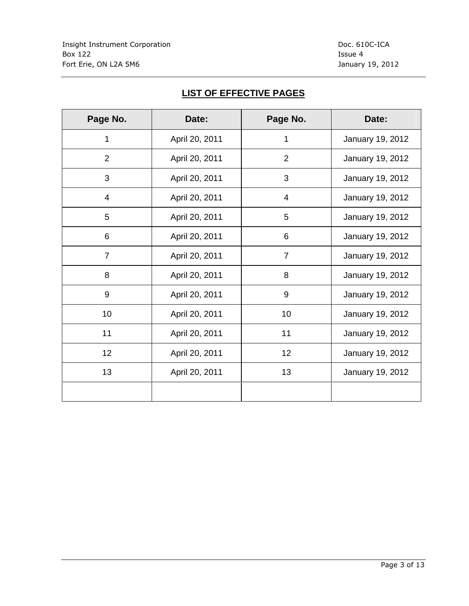# **LIST OF EFFECTIVE PAGES**

| Page No.        | Date:          | Page No.       | Date:            |
|-----------------|----------------|----------------|------------------|
| 1               | April 20, 2011 | 1              | January 19, 2012 |
| $\overline{2}$  | April 20, 2011 | $\overline{2}$ | January 19, 2012 |
| 3               | April 20, 2011 | 3              | January 19, 2012 |
| $\overline{4}$  | April 20, 2011 | $\overline{4}$ | January 19, 2012 |
| 5               | April 20, 2011 | 5              | January 19, 2012 |
| $6\phantom{1}6$ | April 20, 2011 | 6              | January 19, 2012 |
| 7               | April 20, 2011 | 7              | January 19, 2012 |
| 8               | April 20, 2011 | 8              | January 19, 2012 |
| 9               | April 20, 2011 | 9              | January 19, 2012 |
| 10              | April 20, 2011 | 10             | January 19, 2012 |
| 11              | April 20, 2011 | 11             | January 19, 2012 |
| 12              | April 20, 2011 | 12             | January 19, 2012 |
| 13              | April 20, 2011 | 13             | January 19, 2012 |
|                 |                |                |                  |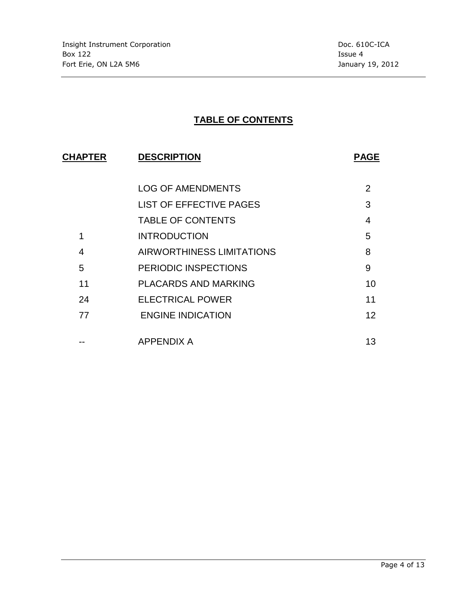# **TABLE OF CONTENTS**

| <b>DESCRIPTION</b><br><b>CHAPTER</b> |                                  | <b>PAGE</b> |  |
|--------------------------------------|----------------------------------|-------------|--|
|                                      |                                  |             |  |
|                                      | <b>LOG OF AMENDMENTS</b>         | 2           |  |
|                                      | <b>LIST OF EFFECTIVE PAGES</b>   | 3           |  |
|                                      | <b>TABLE OF CONTENTS</b>         | 4           |  |
| 1                                    | <b>INTRODUCTION</b>              | 5           |  |
| 4                                    | <b>AIRWORTHINESS LIMITATIONS</b> | 8           |  |
| 5                                    | PERIODIC INSPECTIONS             | 9           |  |
| 11                                   | <b>PLACARDS AND MARKING</b>      | 10          |  |
| 24                                   | <b>ELECTRICAL POWER</b>          | 11          |  |
| 77                                   | <b>ENGINE INDICATION</b>         | 12          |  |
|                                      |                                  |             |  |
|                                      | APPENDIX A                       | 13          |  |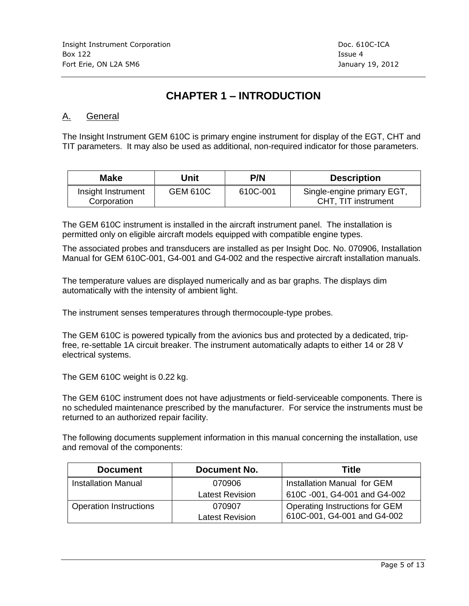# **CHAPTER 1 – INTRODUCTION**

### A. General

The Insight Instrument GEM 610C is primary engine instrument for display of the EGT, CHT and TIT parameters. It may also be used as additional, non-required indicator for those parameters.

| <b>Make</b>                       | Unit            | <b>P/N</b> | <b>Description</b>                                |
|-----------------------------------|-----------------|------------|---------------------------------------------------|
| Insight Instrument<br>Corporation | <b>GEM 610C</b> | 610C-001   | Single-engine primary EGT,<br>CHT, TIT instrument |

The GEM 610C instrument is installed in the aircraft instrument panel. The installation is permitted only on eligible aircraft models equipped with compatible engine types.

The associated probes and transducers are installed as per Insight Doc. No. 070906, Installation Manual for GEM 610C-001, G4-001 and G4-002 and the respective aircraft installation manuals.

The temperature values are displayed numerically and as bar graphs. The displays dim automatically with the intensity of ambient light.

The instrument senses temperatures through thermocouple-type probes.

The GEM 610C is powered typically from the avionics bus and protected by a dedicated, tripfree, re-settable 1A circuit breaker. The instrument automatically adapts to either 14 or 28 V electrical systems.

The GEM 610C weight is 0.22 kg.

The GEM 610C instrument does not have adjustments or field-serviceable components. There is no scheduled maintenance prescribed by the manufacturer. For service the instruments must be returned to an authorized repair facility.

The following documents supplement information in this manual concerning the installation, use and removal of the components:

| <b>Document</b>               | Document No.           | Title                          |
|-------------------------------|------------------------|--------------------------------|
| <b>Installation Manual</b>    | 070906                 | Installation Manual for GEM    |
|                               | <b>Latest Revision</b> | 610C -001, G4-001 and G4-002   |
| <b>Operation Instructions</b> | 070907                 | Operating Instructions for GEM |
|                               | <b>Latest Revision</b> | 610C-001, G4-001 and G4-002    |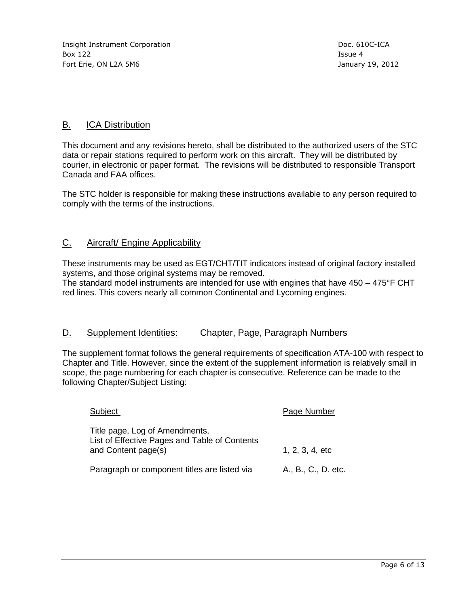### B. ICA Distribution

This document and any revisions hereto, shall be distributed to the authorized users of the STC data or repair stations required to perform work on this aircraft. They will be distributed by courier, in electronic or paper format. The revisions will be distributed to responsible Transport Canada and FAA offices.

The STC holder is responsible for making these instructions available to any person required to comply with the terms of the instructions.

### C. Aircraft/ Engine Applicability

These instruments may be used as EGT/CHT/TIT indicators instead of original factory installed systems, and those original systems may be removed.

The standard model instruments are intended for use with engines that have  $450 - 475$ °F CHT red lines. This covers nearly all common Continental and Lycoming engines.

### D. Supplement Identities: Chapter, Page, Paragraph Numbers

The supplement format follows the general requirements of specification ATA-100 with respect to Chapter and Title. However, since the extent of the supplement information is relatively small in scope, the page numbering for each chapter is consecutive. Reference can be made to the following Chapter/Subject Listing:

| Subject                                                                                                | Page Number         |
|--------------------------------------------------------------------------------------------------------|---------------------|
| Title page, Log of Amendments,<br>List of Effective Pages and Table of Contents<br>and Content page(s) | 1, 2, 3, 4, etc     |
| Paragraph or component titles are listed via                                                           | A., B., C., D. etc. |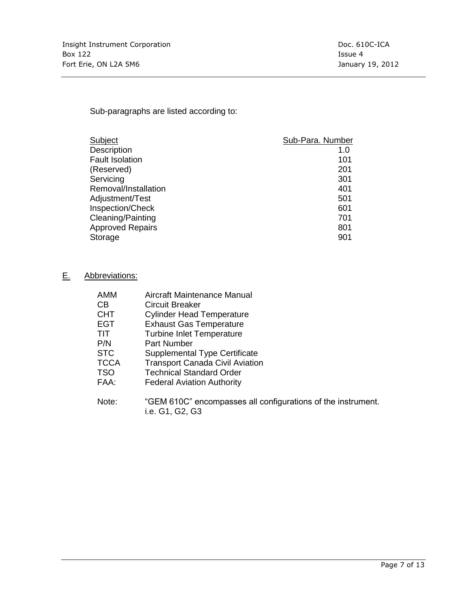Sub-paragraphs are listed according to:

| Subject                 | Sub-Para. Number |
|-------------------------|------------------|
| <b>Description</b>      | 1.0              |
| <b>Fault Isolation</b>  | 101              |
| (Reserved)              | 201              |
| Servicing               | 301              |
| Removal/Installation    | 401              |
| Adjustment/Test         | 501              |
| Inspection/Check        | 601              |
| Cleaning/Painting       | 701              |
| <b>Approved Repairs</b> | 801              |
| Storage                 | 901              |

### E. Abbreviations:

| AMM         | Aircraft Maintenance Manual                  |
|-------------|----------------------------------------------|
| CВ          | Circuit Breaker                              |
| <b>CHT</b>  | <b>Cylinder Head Temperature</b>             |
| <b>EGT</b>  | <b>Exhaust Gas Temperature</b>               |
| TIT         | <b>Turbine Inlet Temperature</b>             |
| P/N         | <b>Part Number</b>                           |
| <b>STC</b>  | <b>Supplemental Type Certificate</b>         |
| <b>TCCA</b> | <b>Transport Canada Civil Aviation</b>       |
| <b>TSO</b>  | <b>Technical Standard Order</b>              |
| FAA:        | <b>Federal Aviation Authority</b>            |
| Note:       | "GEM 610C" encompasses all configurations of |

Note: "GEM 610C" encompasses all configurations of the instrument. i.e. G1, G2, G3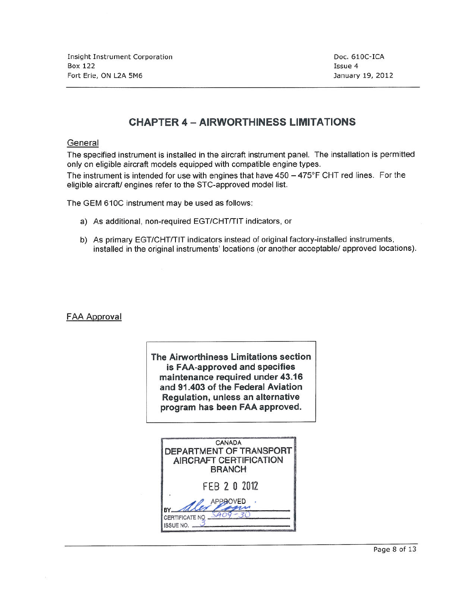**Insight Instrument Corporation Box 122** Fort Erie, ON L2A 5M6

Doc. 610C-ICA Issue 4 January 19, 2012

### **CHAPTER 4 - AIRWORTHINESS LIMITATIONS**

#### General

The specified instrument is installed in the aircraft instrument panel. The installation is permitted only on eligible aircraft models equipped with compatible engine types.

The instrument is intended for use with engines that have  $450 - 475^{\circ}$  F CHT red lines. For the eligible aircraft/ engines refer to the STC-approved model list.

The GEM 610C instrument may be used as follows:

- a) As additional, non-required EGT/CHT/TIT indicators, or
- b) As primary EGT/CHT/TIT indicators instead of original factory-installed instruments, installed in the original instruments' locations (or another acceptable/ approved locations).

### **FAA Approval**

The Airworthiness Limitations section is FAA-approved and specifies maintenance required under 43.16 and 91.403 of the Federal Aviation Regulation, unless an alternative program has been FAA approved.

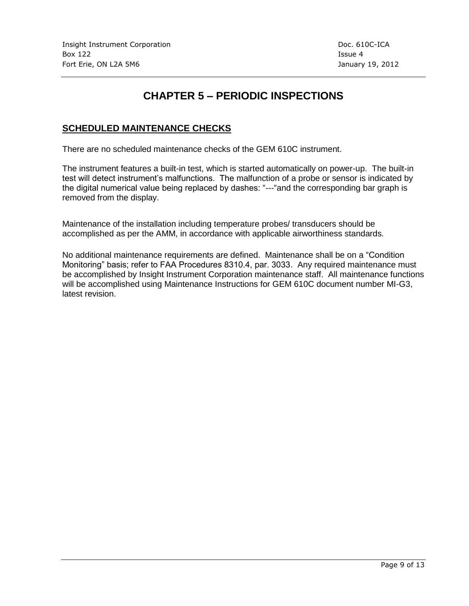# **CHAPTER 5 – PERIODIC INSPECTIONS**

### **SCHEDULED MAINTENANCE CHECKS**

There are no scheduled maintenance checks of the GEM 610C instrument.

The instrument features a built-in test, which is started automatically on power-up. The built-in test will detect instrument's malfunctions. The malfunction of a probe or sensor is indicated by the digital numerical value being replaced by dashes: "---"and the corresponding bar graph is removed from the display.

Maintenance of the installation including temperature probes/ transducers should be accomplished as per the AMM, in accordance with applicable airworthiness standards.

No additional maintenance requirements are defined. Maintenance shall be on a "Condition Monitoring" basis; refer to FAA Procedures 8310.4, par. 3033. Any required maintenance must be accomplished by Insight Instrument Corporation maintenance staff. All maintenance functions will be accomplished using Maintenance Instructions for GEM 610C document number MI-G3, latest revision.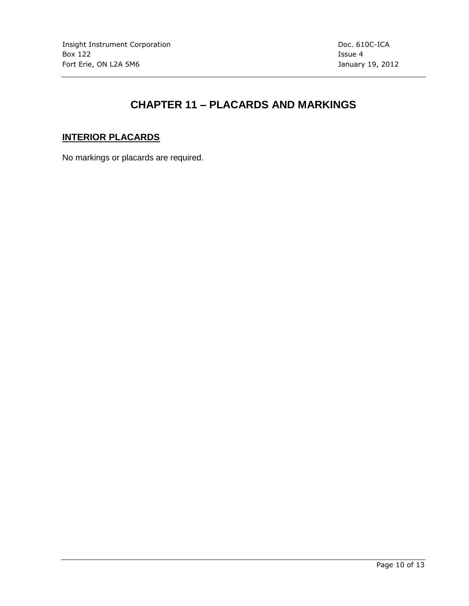# **CHAPTER 11 – PLACARDS AND MARKINGS**

### **INTERIOR PLACARDS**

No markings or placards are required.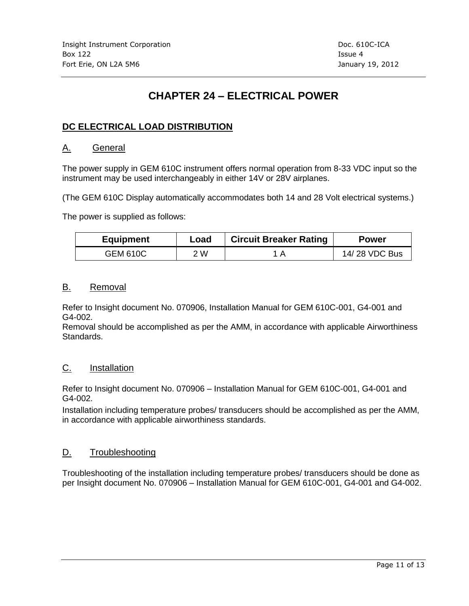# **CHAPTER 24 – ELECTRICAL POWER**

### **DC ELECTRICAL LOAD DISTRIBUTION**

### A. General

The power supply in GEM 610C instrument offers normal operation from 8-33 VDC input so the instrument may be used interchangeably in either 14V or 28V airplanes.

(The GEM 610C Display automatically accommodates both 14 and 28 Volt electrical systems.)

The power is supplied as follows:

| <b>Equipment</b> | Load | <b>Circuit Breaker Rating</b> | <b>Power</b>  |
|------------------|------|-------------------------------|---------------|
| GEM 610C         | W    |                               | 14/28 VDC Bus |

#### B. Removal

Refer to Insight document No. 070906, Installation Manual for GEM 610C-001, G4-001 and G4-002.

Removal should be accomplished as per the AMM, in accordance with applicable Airworthiness Standards.

### C. Installation

Refer to Insight document No. 070906 – Installation Manual for GEM 610C-001, G4-001 and G4-002.

Installation including temperature probes/ transducers should be accomplished as per the AMM, in accordance with applicable airworthiness standards.

### D. Troubleshooting

Troubleshooting of the installation including temperature probes/ transducers should be done as per Insight document No. 070906 – Installation Manual for GEM 610C-001, G4-001 and G4-002.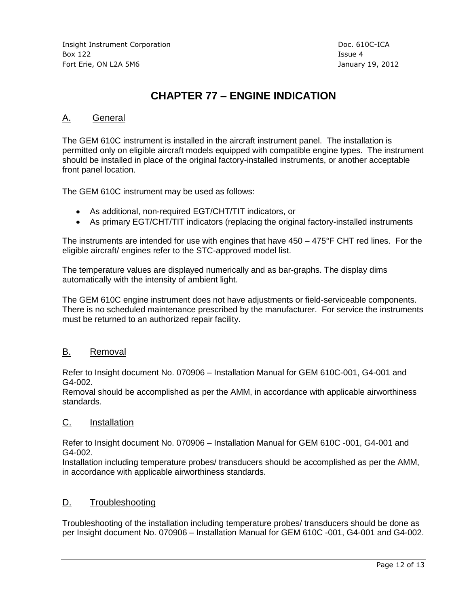# **CHAPTER 77 – ENGINE INDICATION**

### A. General

The GEM 610C instrument is installed in the aircraft instrument panel. The installation is permitted only on eligible aircraft models equipped with compatible engine types. The instrument should be installed in place of the original factory-installed instruments, or another acceptable front panel location.

The GEM 610C instrument may be used as follows:

- As additional, non-required EGT/CHT/TIT indicators, or
- As primary EGT/CHT/TIT indicators (replacing the original factory-installed instruments

The instruments are intended for use with engines that have  $450 - 475$  °F CHT red lines. For the eligible aircraft/ engines refer to the STC-approved model list.

The temperature values are displayed numerically and as bar-graphs. The display dims automatically with the intensity of ambient light.

The GEM 610C engine instrument does not have adjustments or field-serviceable components. There is no scheduled maintenance prescribed by the manufacturer. For service the instruments must be returned to an authorized repair facility.

### B. Removal

Refer to Insight document No. 070906 – Installation Manual for GEM 610C-001, G4-001 and G4-002.

Removal should be accomplished as per the AMM, in accordance with applicable airworthiness standards.

### C. Installation

Refer to Insight document No. 070906 – Installation Manual for GEM 610C -001, G4-001 and G4-002.

Installation including temperature probes/ transducers should be accomplished as per the AMM, in accordance with applicable airworthiness standards.

### D. Troubleshooting

Troubleshooting of the installation including temperature probes/ transducers should be done as per Insight document No. 070906 – Installation Manual for GEM 610C -001, G4-001 and G4-002.